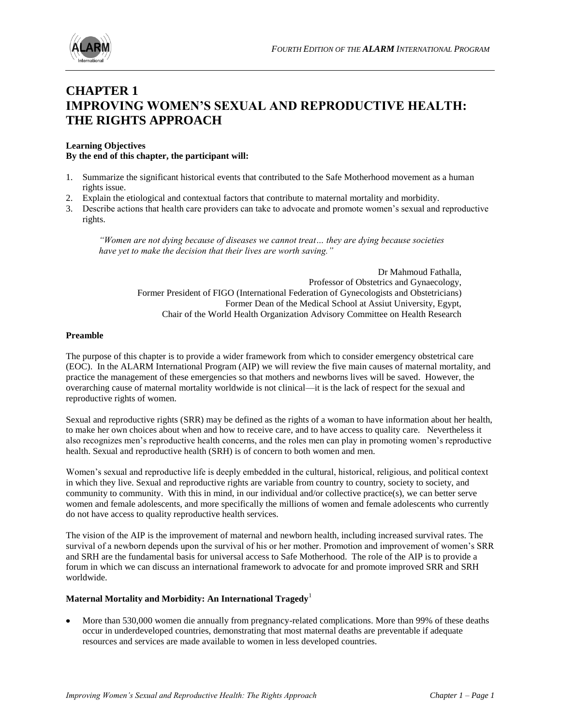

## **CHAPTER 1 IMPROVING WOMEN'S SEXUAL AND REPRODUCTIVE HEALTH: THE RIGHTS APPROACH**

#### **Learning Objectives By the end of this chapter, the participant will:**

- 1. Summarize the significant historical events that contributed to the Safe Motherhood movement as a human rights issue.
- 2. Explain the etiological and contextual factors that contribute to maternal mortality and morbidity.
- 3. Describe actions that health care providers can take to advocate and promote women's sexual and reproductive rights.

*"Women are not dying because of diseases we cannot treat… they are dying because societies have yet to make the decision that their lives are worth saving."* 

> Dr Mahmoud Fathalla, Professor of Obstetrics and Gynaecology, Former President of FIGO (International Federation of Gynecologists and Obstetricians) Former Dean of the Medical School at Assiut University, Egypt, Chair of the World Health Organization [Advisory Committee on Health Research](http://www.who.int/rpc/ACHR/ACHRexplain.htm)

#### **Preamble**

The purpose of this chapter is to provide a wider framework from which to consider emergency obstetrical care (EOC). In the ALARM International Program (AIP) we will review the five main causes of maternal mortality, and practice the management of these emergencies so that mothers and newborns lives will be saved. However, the overarching cause of maternal mortality worldwide is not clinical—it is the lack of respect for the sexual and reproductive rights of women.

Sexual and reproductive rights (SRR) may be defined as the rights of a woman to have information about her health, to make her own choices about when and how to receive care, and to have access to quality care. Nevertheless it also recognizes men's reproductive health concerns, and the roles men can play in promoting women's reproductive health. Sexual and reproductive health (SRH) is of concern to both women and men.

Women's sexual and reproductive life is deeply embedded in the cultural, historical, religious, and political context in which they live. Sexual and reproductive rights are variable from country to country, society to society, and community to community. With this in mind, in our individual and/or collective practice(s), we can better serve women and female adolescents, and more specifically the millions of women and female adolescents who currently do not have access to quality reproductive health services.

The vision of the AIP is the improvement of maternal and newborn health, including increased survival rates. The survival of a newborn depends upon the survival of his or her mother. Promotion and improvement of women's SRR and SRH are the fundamental basis for universal access to Safe Motherhood. The role of the AIP is to provide a forum in which we can discuss an international framework to advocate for and promote improved SRR and SRH worldwide.

#### **Maternal Mortality and Morbidity: An International Tragedy**<sup>1</sup>

More than 530,000 women die annually from pregnancy-related complications. More than 99% of these deaths occur in underdeveloped countries, demonstrating that most maternal deaths are preventable if adequate resources and services are made available to women in less developed countries.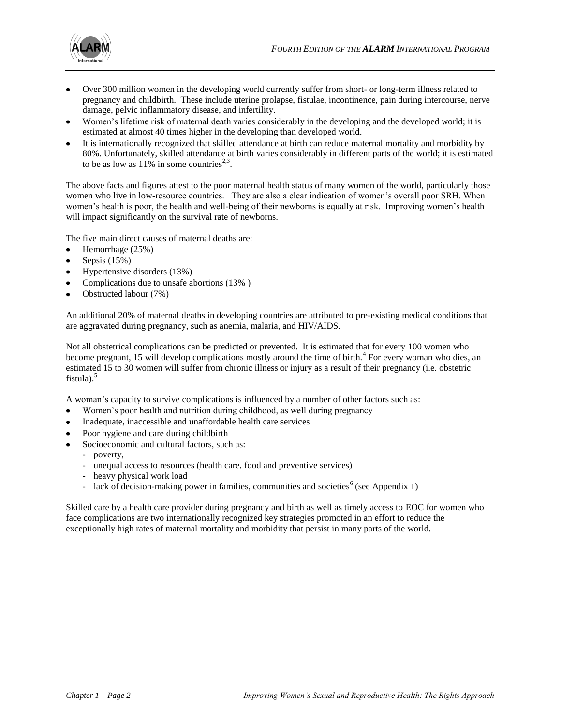

- Over 300 million women in the developing world currently suffer from short- or long-term illness related to pregnancy and childbirth. These include uterine prolapse, fistulae, incontinence, pain during intercourse, nerve damage, pelvic inflammatory disease, and infertility.
- Women's lifetime risk of maternal death varies considerably in the developing and the developed world; it is estimated at almost 40 times higher in the developing than developed world.
- It is internationally recognized that skilled attendance at birth can reduce maternal mortality and morbidity by 80%. Unfortunately, skilled attendance at birth varies considerably in different parts of the world; it is estimated to be as low as  $11\%$  in some countries<sup>2,3</sup>.

The above facts and figures attest to the poor maternal health status of many women of the world, particularly those women who live in low-resource countries. They are also a clear indication of women's overall poor SRH. When women's health is poor, the health and well-being of their newborns is equally at risk. Improving women's health will impact significantly on the survival rate of newborns.

The five main direct causes of maternal deaths are:

- $\bullet$ Hemorrhage (25%)
- Sepsis (15%)  $\bullet$
- Hypertensive disorders (13%)
- Complications due to unsafe abortions (13% )
- Obstructed labour (7%)  $\bullet$

An additional 20% of maternal deaths in developing countries are attributed to pre-existing medical conditions that are aggravated during pregnancy, such as anemia, malaria, and HIV/AIDS.

Not all obstetrical complications can be predicted or prevented. It is estimated that for every 100 women who become pregnant, 15 will develop complications mostly around the time of birth.<sup>4</sup> For every woman who dies, an estimated 15 to 30 women will suffer from chronic illness or injury as a result of their pregnancy (i.e. obstetric fistula). $5$ 

A woman's capacity to survive complications is influenced by a number of other factors such as:

- Women's poor health and nutrition during childhood, as well during pregnancy
- Inadequate, inaccessible and unaffordable health care services
- Poor hygiene and care during childbirth
- Socioeconomic and cultural factors, such as:
	- poverty,
	- unequal access to resources (health care, food and preventive services)
	- heavy physical work load
	- lack of decision-making power in families, communities and societies<sup>6</sup> (see Appendix 1)

Skilled care by a health care provider during pregnancy and birth as well as timely access to EOC for women who face complications are two internationally recognized key strategies promoted in an effort to reduce the exceptionally high rates of maternal mortality and morbidity that persist in many parts of the world.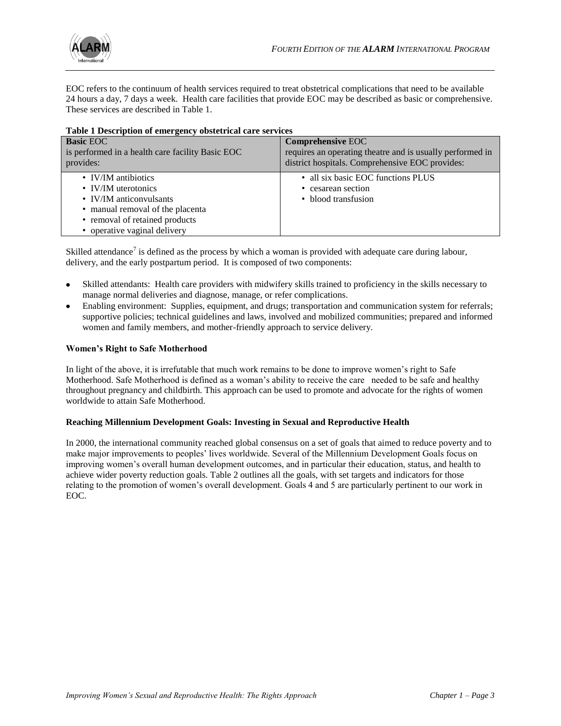

EOC refers to the continuum of health services required to treat obstetrical complications that need to be available 24 hours a day, 7 days a week. Health care facilities that provide EOC may be described as basic or comprehensive. These services are described in Table 1.

| Table I Description of emergency obsteamed care services |                                                           |
|----------------------------------------------------------|-----------------------------------------------------------|
| <b>Basic EOC</b>                                         | <b>Comprehensive EOC</b>                                  |
| is performed in a health care facility Basic EOC         | requires an operating theatre and is usually performed in |
| provides:                                                | district hospitals. Comprehensive EOC provides:           |
| • IV/IM antibiotics                                      | • all six basic EOC functions PLUS                        |
| • IV/IM uterotonics                                      | • cesarean section                                        |
| • IV/IM anticonvulsants                                  | • blood transfusion                                       |
| • manual removal of the placenta                         |                                                           |
| • removal of retained products                           |                                                           |
| • operative vaginal delivery                             |                                                           |

|  |  |  | Table 1 Description of emergency obstetrical care services |  |  |
|--|--|--|------------------------------------------------------------|--|--|
|--|--|--|------------------------------------------------------------|--|--|

Skilled attendance<sup>7</sup> is defined as the process by which a woman is provided with adequate care during labour, delivery, and the early postpartum period. It is composed of two components:

- Skilled attendants: Health care providers with midwifery skills trained to proficiency in the skills necessary to manage normal deliveries and diagnose, manage, or refer complications.
- Enabling environment: Supplies, equipment, and drugs; transportation and communication system for referrals; supportive policies; technical guidelines and laws, involved and mobilized communities; prepared and informed women and family members, and mother-friendly approach to service delivery.

#### **Women's Right to Safe Motherhood**

In light of the above, it is irrefutable that much work remains to be done to improve women's right to Safe Motherhood. Safe Motherhood is defined as a woman's ability to receive the care needed to be safe and healthy throughout pregnancy and childbirth. This approach can be used to promote and advocate for the rights of women worldwide to attain Safe Motherhood.

#### **Reaching Millennium Development Goals: Investing in Sexual and Reproductive Health**

In 2000, the international community reached global consensus on a set of goals that aimed to reduce poverty and to make major improvements to peoples' lives worldwide. Several of the Millennium Development Goals focus on improving women's overall human development outcomes, and in particular their education, status, and health to achieve wider poverty reduction goals. Table 2 outlines all the goals, with set targets and indicators for those relating to the promotion of women's overall development. Goals 4 and 5 are particularly pertinent to our work in EOC.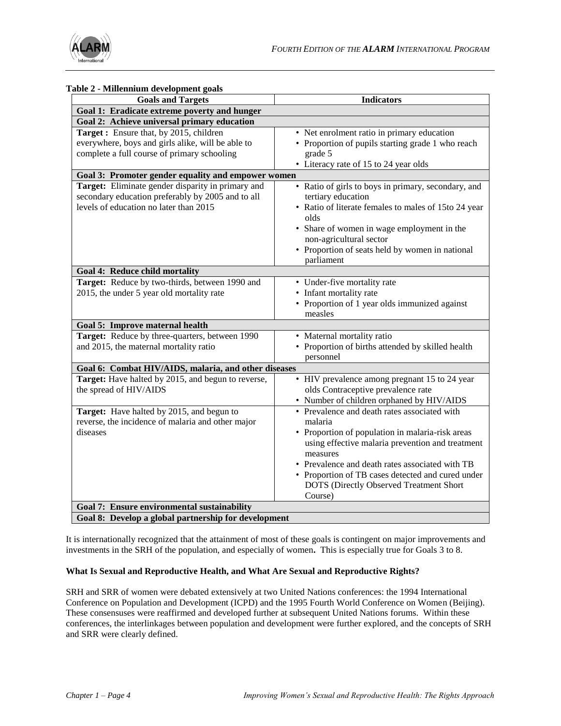

| abie 2 - Miliennium development goals<br><b>Goals and Targets</b>                                                                                | <b>Indicators</b>                                                                                                                                                                                                                                                                                                                         |
|--------------------------------------------------------------------------------------------------------------------------------------------------|-------------------------------------------------------------------------------------------------------------------------------------------------------------------------------------------------------------------------------------------------------------------------------------------------------------------------------------------|
| Goal 1: Eradicate extreme poverty and hunger                                                                                                     |                                                                                                                                                                                                                                                                                                                                           |
| Goal 2: Achieve universal primary education                                                                                                      |                                                                                                                                                                                                                                                                                                                                           |
| Target: Ensure that, by 2015, children<br>everywhere, boys and girls alike, will be able to<br>complete a full course of primary schooling       | • Net enrolment ratio in primary education<br>• Proportion of pupils starting grade 1 who reach<br>grade 5<br>• Literacy rate of 15 to 24 year olds                                                                                                                                                                                       |
| Goal 3: Promoter gender equality and empower women                                                                                               |                                                                                                                                                                                                                                                                                                                                           |
| Target: Eliminate gender disparity in primary and<br>secondary education preferably by 2005 and to all<br>levels of education no later than 2015 | • Ratio of girls to boys in primary, secondary, and<br>tertiary education<br>• Ratio of literate females to males of 15to 24 year<br>olds<br>• Share of women in wage employment in the<br>non-agricultural sector<br>• Proportion of seats held by women in national<br>parliament                                                       |
| Goal 4: Reduce child mortality                                                                                                                   |                                                                                                                                                                                                                                                                                                                                           |
| Target: Reduce by two-thirds, between 1990 and<br>2015, the under 5 year old mortality rate                                                      | • Under-five mortality rate<br>• Infant mortality rate<br>• Proportion of 1 year olds immunized against<br>measles                                                                                                                                                                                                                        |
| Goal 5: Improve maternal health                                                                                                                  |                                                                                                                                                                                                                                                                                                                                           |
| Target: Reduce by three-quarters, between 1990<br>and 2015, the maternal mortality ratio                                                         | • Maternal mortality ratio<br>• Proportion of births attended by skilled health<br>personnel                                                                                                                                                                                                                                              |
| Goal 6: Combat HIV/AIDS, malaria, and other diseases                                                                                             |                                                                                                                                                                                                                                                                                                                                           |
| Target: Have halted by 2015, and begun to reverse,<br>the spread of HIV/AIDS                                                                     | • HIV prevalence among pregnant 15 to 24 year<br>olds Contraceptive prevalence rate<br>• Number of children orphaned by HIV/AIDS                                                                                                                                                                                                          |
| Target: Have halted by 2015, and begun to<br>reverse, the incidence of malaria and other major<br>diseases                                       | • Prevalence and death rates associated with<br>malaria<br>• Proportion of population in malaria-risk areas<br>using effective malaria prevention and treatment<br>measures<br>• Prevalence and death rates associated with TB<br>• Proportion of TB cases detected and cured under<br>DOTS (Directly Observed Treatment Short<br>Course) |
| Goal 7: Ensure environmental sustainability                                                                                                      |                                                                                                                                                                                                                                                                                                                                           |
| Goal 8: Develop a global partnership for development                                                                                             |                                                                                                                                                                                                                                                                                                                                           |

### **Table 2 - Millennium development goals**

It is internationally recognized that the attainment of most of these goals is contingent on major improvements and investments in the SRH of the population, and especially of women**.** This is especially true for Goals 3 to 8.

#### **What Is Sexual and Reproductive Health, and What Are Sexual and Reproductive Rights?**

SRH and SRR of women were debated extensively at two United Nations conferences: the 1994 International Conference on Population and Development (ICPD) and the 1995 Fourth World Conference on Women (Beijing). These consensuses were reaffirmed and developed further at subsequent United Nations forums. Within these conferences, the interlinkages between population and development were further explored, and the concepts of SRH and SRR were clearly defined.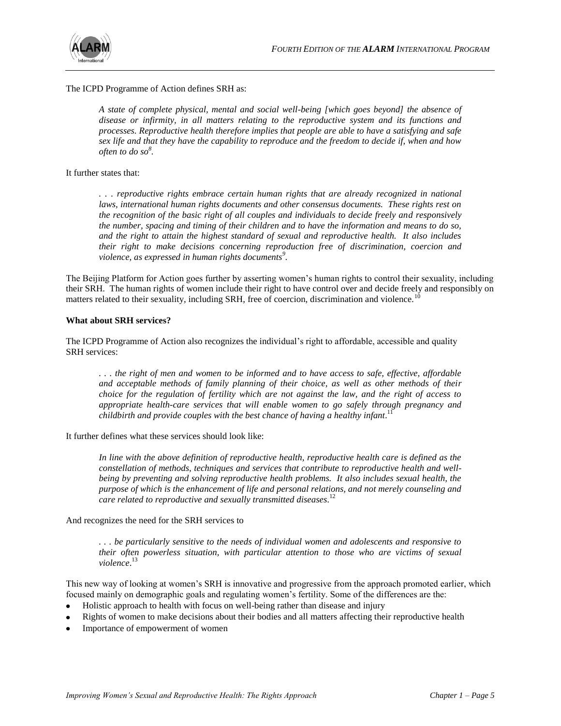

The ICPD Programme of Action defines SRH as:

*A state of complete physical, mental and social well-being [which goes beyond] the absence of disease or infirmity, in all matters relating to the reproductive system and its functions and processes. Reproductive health therefore implies that people are able to have a satisfying and safe sex life and that they have the capability to reproduce and the freedom to decide if, when and how often to do so<sup>8</sup> .*

It further states that:

*. . . reproductive rights embrace certain human rights that are already recognized in national laws, international human rights documents and other consensus documents. These rights rest on the recognition of the basic right of all couples and individuals to decide freely and responsively the number, spacing and timing of their children and to have the information and means to do so, and the right to attain the highest standard of sexual and reproductive health. It also includes their right to make decisions concerning reproduction free of discrimination, coercion and violence, as expressed in human rights documents<sup>9</sup> .* 

The Beijing Platform for Action goes further by asserting women's human rights to control their sexuality, including their SRH. The human rights of women include their right to have control over and decide freely and responsibly on matters related to their sexuality, including SRH, free of coercion, discrimination and violence.<sup>10</sup>

#### **What about SRH services?**

The ICPD Programme of Action also recognizes the individual's right to affordable, accessible and quality SRH services:

*. . . the right of men and women to be informed and to have access to safe, effective, affordable and acceptable methods of family planning of their choice, as well as other methods of their choice for the regulation of fertility which are not against the law, and the right of access to appropriate health-care services that will enable women to go safely through pregnancy and childbirth and provide couples with the best chance of having a healthy infant*. 11

It further defines what these services should look like:

*In line with the above definition of reproductive health, reproductive health care is defined as the constellation of methods, techniques and services that contribute to reproductive health and wellbeing by preventing and solving reproductive health problems. It also includes sexual health, the purpose of which is the enhancement of life and personal relations, and not merely counseling and care related to reproductive and sexually transmitted diseases*. 12

#### And recognizes the need for the SRH services to

*. . . be particularly sensitive to the needs of individual women and adolescents and responsive to their often powerless situation, with particular attention to those who are victims of sexual violence*. 13

This new way of looking at women's SRH is innovative and progressive from the approach promoted earlier, which focused mainly on demographic goals and regulating women's fertility. Some of the differences are the:

- Holistic approach to health with focus on well-being rather than disease and injury  $\bullet$
- Rights of women to make decisions about their bodies and all matters affecting their reproductive health
- Importance of empowerment of women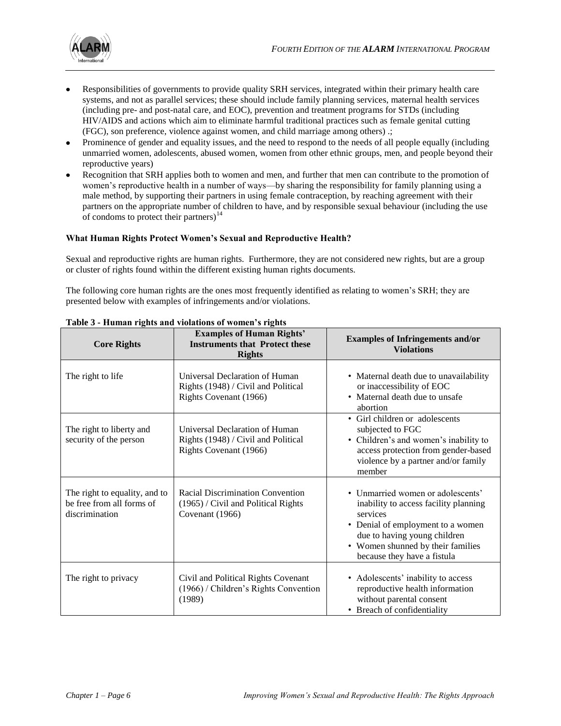

- Responsibilities of governments to provide quality SRH services, integrated within their primary health care systems, and not as parallel services; these should include family planning services, maternal health services (including pre- and post-natal care, and EOC), prevention and treatment programs for STDs (including HIV/AIDS and actions which aim to eliminate harmful traditional practices such as female genital cutting (FGC), son preference, violence against women, and child marriage among others) .;
- Prominence of gender and equality issues, and the need to respond to the needs of all people equally (including unmarried women, adolescents, abused women, women from other ethnic groups, men, and people beyond their reproductive years)
- Recognition that SRH applies both to women and men, and further that men can contribute to the promotion of women's reproductive health in a number of ways—by sharing the responsibility for family planning using a male method, by supporting their partners in using female contraception, by reaching agreement with their partners on the appropriate number of children to have, and by responsible sexual behaviour (including the use of condoms to protect their partners) $14$

#### **What Human Rights Protect Women's Sexual and Reproductive Health?**

Sexual and reproductive rights are human rights. Furthermore, they are not considered new rights, but are a group or cluster of rights found within the different existing human rights documents.

The following core human rights are the ones most frequently identified as relating to women's SRH; they are presented below with examples of infringements and/or violations.

| <b>Core Rights</b>                                                           | <b>Examples of Human Rights'</b><br><b>Instruments that Protect these</b><br><b>Rights</b>        | <b>Examples of Infringements and/or</b><br><b>Violations</b>                                                                                                                                                                    |
|------------------------------------------------------------------------------|---------------------------------------------------------------------------------------------------|---------------------------------------------------------------------------------------------------------------------------------------------------------------------------------------------------------------------------------|
| The right to life                                                            | Universal Declaration of Human<br>Rights (1948) / Civil and Political<br>Rights Covenant (1966)   | • Maternal death due to unavailability<br>or inaccessibility of EOC<br>• Maternal death due to unsafe<br>abortion                                                                                                               |
| The right to liberty and<br>security of the person                           | Universal Declaration of Human<br>Rights (1948) / Civil and Political<br>Rights Covenant (1966)   | • Girl children or adolescents<br>subjected to FGC<br>• Children's and women's inability to<br>access protection from gender-based<br>violence by a partner and/or family<br>member                                             |
| The right to equality, and to<br>be free from all forms of<br>discrimination | <b>Racial Discrimination Convention</b><br>(1965) / Civil and Political Rights<br>Covenant (1966) | • Unmarried women or adolescents'<br>inability to access facility planning<br>services<br>• Denial of employment to a women<br>due to having young children<br>• Women shunned by their families<br>because they have a fistula |
| The right to privacy                                                         | Civil and Political Rights Covenant<br>(1966) / Children's Rights Convention<br>(1989)            | • Adolescents' inability to access<br>reproductive health information<br>without parental consent<br>• Breach of confidentiality                                                                                                |

#### **Table 3 - Human rights and violations of women's rights**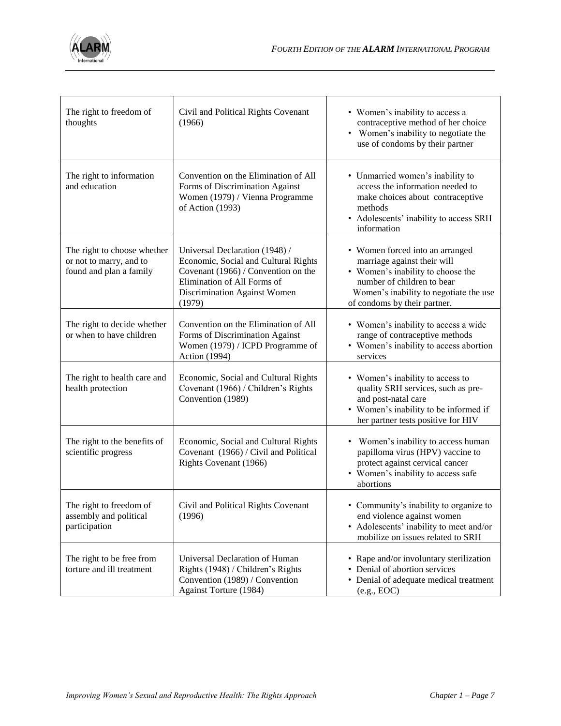

| The right to freedom of<br>thoughts                                               | Civil and Political Rights Covenant<br>(1966)                                                                                                                                          | • Women's inability to access a<br>contraceptive method of her choice<br>• Women's inability to negotiate the<br>use of condoms by their partner                                                            |
|-----------------------------------------------------------------------------------|----------------------------------------------------------------------------------------------------------------------------------------------------------------------------------------|-------------------------------------------------------------------------------------------------------------------------------------------------------------------------------------------------------------|
| The right to information<br>and education                                         | Convention on the Elimination of All<br>Forms of Discrimination Against<br>Women (1979) / Vienna Programme<br>of Action (1993)                                                         | • Unmarried women's inability to<br>access the information needed to<br>make choices about contraceptive<br>methods<br>• Adolescents' inability to access SRH<br>information                                |
| The right to choose whether<br>or not to marry, and to<br>found and plan a family | Universal Declaration (1948) /<br>Economic, Social and Cultural Rights<br>Covenant (1966) / Convention on the<br>Elimination of All Forms of<br>Discrimination Against Women<br>(1979) | • Women forced into an arranged<br>marriage against their will<br>• Women's inability to choose the<br>number of children to bear<br>Women's inability to negotiate the use<br>of condoms by their partner. |
| The right to decide whether<br>or when to have children                           | Convention on the Elimination of All<br>Forms of Discrimination Against<br>Women (1979) / ICPD Programme of<br><b>Action</b> (1994)                                                    | • Women's inability to access a wide<br>range of contraceptive methods<br>• Women's inability to access abortion<br>services                                                                                |
| The right to health care and<br>health protection                                 | Economic, Social and Cultural Rights<br>Covenant (1966) / Children's Rights<br>Convention (1989)                                                                                       | • Women's inability to access to<br>quality SRH services, such as pre-<br>and post-natal care<br>• Women's inability to be informed if<br>her partner tests positive for HIV                                |
| The right to the benefits of<br>scientific progress                               | Economic, Social and Cultural Rights<br>Covenant (1966) / Civil and Political<br>Rights Covenant (1966)                                                                                | Women's inability to access human<br>papilloma virus (HPV) vaccine to<br>protect against cervical cancer<br>• Women's inability to access safe<br>abortions                                                 |
| The right to freedom of<br>assembly and political<br>participation                | Civil and Political Rights Covenant<br>(1996)                                                                                                                                          | • Community's inability to organize to<br>end violence against women<br>• Adolescents' inability to meet and/or<br>mobilize on issues related to SRH                                                        |
| The right to be free from<br>torture and ill treatment                            | Universal Declaration of Human<br>Rights (1948) / Children's Rights<br>Convention (1989) / Convention<br>Against Torture (1984)                                                        | • Rape and/or involuntary sterilization<br>• Denial of abortion services<br>• Denial of adequate medical treatment<br>(e.g., EOC)                                                                           |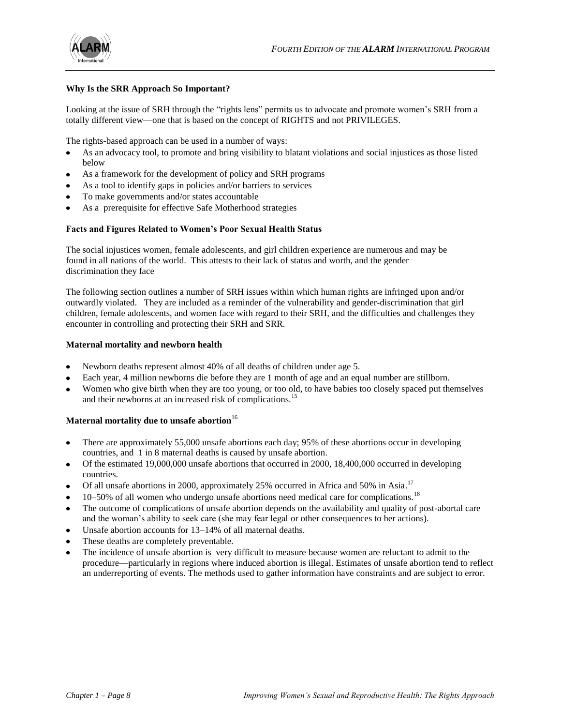

#### **Why Is the SRR Approach So Important?**

Looking at the issue of SRH through the "rights lens" permits us to advocate and promote women's SRH from a totally different view—one that is based on the concept of RIGHTS and not PRIVILEGES.

The rights-based approach can be used in a number of ways:

- As an advocacy tool, to promote and bring visibility to blatant violations and social injustices as those listed below
- As a framework for the development of policy and SRH programs
- As a tool to identify gaps in policies and/or barriers to services
- To make governments and/or states accountable
- As a prerequisite for effective Safe Motherhood strategies

#### **Facts and Figures Related to Women's Poor Sexual Health Status**

The social injustices women, female adolescents, and girl children experience are numerous and may be found in all nations of the world. This attests to their lack of status and worth, and the gender discrimination they face

The following section outlines a number of SRH issues within which human rights are infringed upon and/or outwardly violated. They are included as a reminder of the vulnerability and gender-discrimination that girl children, female adolescents, and women face with regard to their SRH, and the difficulties and challenges they encounter in controlling and protecting their SRH and SRR.

#### **Maternal mortality and newborn health**

- Newborn deaths represent almost 40% of all deaths of children under age 5.
- Each year, 4 million newborns die before they are 1 month of age and an equal number are stillborn.
- Women who give birth when they are too young, or too old, to have babies too closely spaced put themselves and their newborns at an increased risk of complications.<sup>15</sup>

#### Maternal mortality due to unsafe abortion<sup>16</sup>

- There are approximately 55,000 unsafe abortions each day; 95% of these abortions occur in developing countries, and 1 in 8 maternal deaths is caused by unsafe abortion.
- Of the estimated 19,000,000 unsafe abortions that occurred in 2000, 18,400,000 occurred in developing countries.
- Of all unsafe abortions in 2000, approximately 25% occurred in Africa and 50% in Asia.<sup>17</sup>
- 10–50% of all women who undergo unsafe abortions need medical care for complications.<sup>18</sup>
- The outcome of complications of unsafe abortion depends on the availability and quality of post-abortal care and the woman's ability to seek care (she may fear legal or other consequences to her actions).
- Unsafe abortion accounts for 13–14% of all maternal deaths.
- These deaths are completely preventable.
- The incidence of unsafe abortion is very difficult to measure because women are reluctant to admit to the procedure—particularly in regions where induced abortion is illegal. Estimates of unsafe abortion tend to reflect an underreporting of events. The methods used to gather information have constraints and are subject to error.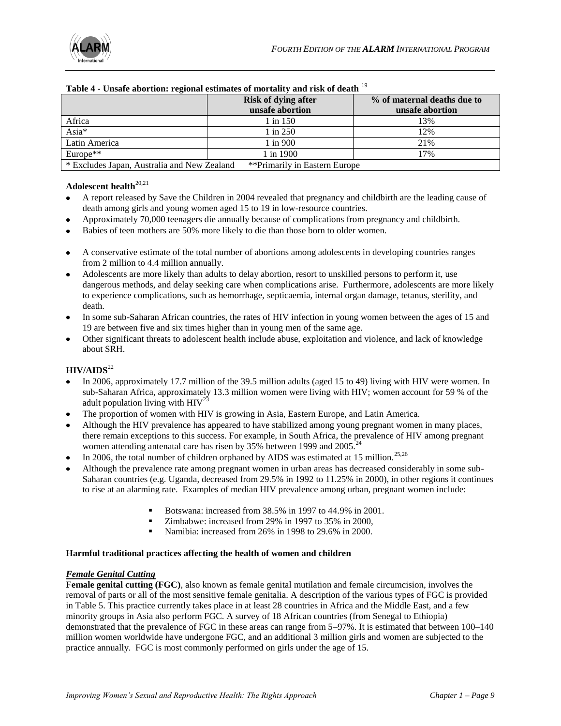|                                                                              | <b>Risk of dying after</b><br>unsafe abortion | % of maternal deaths due to<br>unsafe abortion |
|------------------------------------------------------------------------------|-----------------------------------------------|------------------------------------------------|
| Africa                                                                       | 1 in 150                                      | 13%                                            |
| Asia*                                                                        | $1 \text{ in } 250$                           | 12%                                            |
| Latin America                                                                | 1 in 900                                      | 21%                                            |
| Europe <sup>**</sup>                                                         | 1 in 1900                                     | 17%                                            |
| **Primarily in Eastern Europe<br>* Excludes Japan, Australia and New Zealand |                                               |                                                |

#### **Table 4 - Unsafe abortion: regional estimates of mortality and risk of death** <sup>19</sup>

### Adolescent health<sup>20,21</sup>

- A report released by Save the Children in 2004 revealed that pregnancy and childbirth are the leading cause of death among girls and young women aged 15 to 19 in low-resource countries.
- Approximately 70,000 teenagers die annually because of complications from pregnancy and childbirth.
- Babies of teen mothers are 50% more likely to die than those born to older women.
- A conservative estimate of the total number of abortions among adolescents in developing countries ranges from 2 million to 4.4 million annually.
- Adolescents are more likely than adults to delay abortion, resort to unskilled persons to perform it, use dangerous methods, and delay seeking care when complications arise. Furthermore, adolescents are more likely to experience complications, such as hemorrhage, septicaemia, internal organ damage, tetanus, sterility, and death.
- In some sub-Saharan African countries, the rates of HIV infection in young women between the ages of 15 and 19 are between five and six times higher than in young men of the same age.
- Other significant threats to adolescent health include abuse, exploitation and violence, and lack of knowledge about SRH.

#### **HIV/AIDS**<sup>22</sup>

- In 2006, approximately 17.7 million of the 39.5 million adults (aged 15 to 49) living with HIV were women. In sub-Saharan Africa, approximately 13.3 million women were living with HIV; women account for 59 % of the adult population living with  $HIV^{23}$
- The proportion of women with HIV is growing in Asia, Eastern Europe, and Latin America.
- Although the HIV prevalence has appeared to have stabilized among young pregnant women in many places, there remain exceptions to this success. For example, in South Africa, the prevalence of HIV among pregnant women attending antenatal care has risen by 35% between 1999 and 2005.<sup>24</sup>
- In 2006, the total number of children orphaned by AIDS was estimated at 15 million.<sup>25,26</sup>
- Although the prevalence rate among pregnant women in urban areas has decreased considerably in some sub-Saharan countries (e.g. Uganda, decreased from 29.5% in 1992 to 11.25% in 2000), in other regions it continues to rise at an alarming rate. Examples of median HIV prevalence among urban, pregnant women include:
	- Botswana: increased from 38.5% in 1997 to 44.9% in 2001.
	- Zimbabwe: increased from 29% in 1997 to 35% in 2000,
	- Namibia: increased from 26% in 1998 to 29.6% in 2000.

#### **Harmful traditional practices affecting the health of women and children**

#### *Female Genital Cutting*

**Female genital cutting (FGC)**, also known as female genital mutilation and female circumcision, involves the removal of parts or all of the most sensitive female genitalia. A description of the various types of FGC is provided in Table 5. This practice currently takes place in at least 28 countries in Africa and the Middle East, and a few minority groups in Asia also perform FGC. A survey of 18 African countries (from Senegal to Ethiopia) demonstrated that the prevalence of FGC in these areas can range from 5–97%. It is estimated that between 100–140 million women worldwide have undergone FGC, and an additional 3 million girls and women are subjected to the practice annually. FGC is most commonly performed on girls under the age of 15.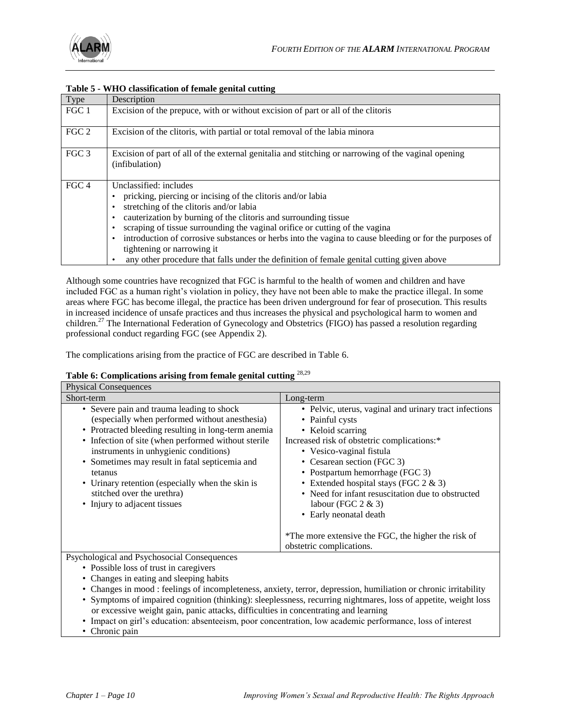

#### **Table 5 - WHO classification of female genital cutting**

| Type             | Description                                                                                                                                                                                                                                                                                                                                                                                                                                                                                                             |
|------------------|-------------------------------------------------------------------------------------------------------------------------------------------------------------------------------------------------------------------------------------------------------------------------------------------------------------------------------------------------------------------------------------------------------------------------------------------------------------------------------------------------------------------------|
| FGC 1            | Excision of the prepuce, with or without excision of part or all of the clitoris                                                                                                                                                                                                                                                                                                                                                                                                                                        |
| FGC 2            | Excision of the clitoris, with partial or total removal of the labia minora                                                                                                                                                                                                                                                                                                                                                                                                                                             |
| FGC 3            | Excision of part of all of the external genitalia and stitching or narrowing of the vaginal opening<br>(infibulation)                                                                                                                                                                                                                                                                                                                                                                                                   |
| FGC <sub>4</sub> | Unclassified: includes<br>pricking, piercing or incising of the clitoris and/or labia<br>stretching of the clitoris and/or labia<br>cauterization by burning of the clitoris and surrounding tissue<br>scraping of tissue surrounding the vaginal orifice or cutting of the vagina<br>introduction of corrosive substances or herbs into the vagina to cause bleeding or for the purposes of<br>tightening or narrowing it<br>any other procedure that falls under the definition of female genital cutting given above |

Although some countries have recognized that FGC is harmful to the health of women and children and have included FGC as a human right's violation in policy, they have not been able to make the practice illegal. In some areas where FGC has become illegal, the practice has been driven underground for fear of prosecution. This results in increased incidence of unsafe practices and thus increases the physical and psychological harm to women and children.<sup>27</sup> The International Federation of Gynecology and Obstetrics (FIGO) has passed a resolution regarding professional conduct regarding FGC (see Appendix 2).

The complications arising from the practice of FGC are described in Table 6.

#### **Table 6: Complications arising from female genital cutting** 28,29

| <b>Physical Consequences</b>                                                                                                                                                                                                                                                                                                                                                                                                      |                                                                                                                                                                                                                                                                                                                                                                                                                                                         |
|-----------------------------------------------------------------------------------------------------------------------------------------------------------------------------------------------------------------------------------------------------------------------------------------------------------------------------------------------------------------------------------------------------------------------------------|---------------------------------------------------------------------------------------------------------------------------------------------------------------------------------------------------------------------------------------------------------------------------------------------------------------------------------------------------------------------------------------------------------------------------------------------------------|
| Short-term                                                                                                                                                                                                                                                                                                                                                                                                                        | Long-term                                                                                                                                                                                                                                                                                                                                                                                                                                               |
| • Severe pain and trauma leading to shock<br>(especially when performed without anesthesia)<br>• Protracted bleeding resulting in long-term anemia<br>• Infection of site (when performed without sterile<br>instruments in unhygienic conditions)<br>• Sometimes may result in fatal septicemia and<br>tetanus<br>• Urinary retention (especially when the skin is<br>stitched over the urethra)<br>• Injury to adjacent tissues | • Pelvic, uterus, vaginal and urinary tract infections<br>• Painful cysts<br>• Keloid scarring<br>Increased risk of obstetric complications:*<br>• Vesico-vaginal fistula<br>• Cesarean section (FGC 3)<br>• Postpartum hemorrhage (FGC 3)<br>• Extended hospital stays (FGC $2 \& 3$ )<br>• Need for infant resuscitation due to obstructed<br>labour (FGC $2 \& 3$ )<br>• Early neonatal death<br>*The more extensive the FGC, the higher the risk of |
|                                                                                                                                                                                                                                                                                                                                                                                                                                   | obstetric complications.                                                                                                                                                                                                                                                                                                                                                                                                                                |
| Psychological and Psychosocial Consequences                                                                                                                                                                                                                                                                                                                                                                                       |                                                                                                                                                                                                                                                                                                                                                                                                                                                         |

al and Psychosocial Consequenc

- Possible loss of trust in caregivers
- Changes in eating and sleeping habits
- Changes in mood : feelings of incompleteness, anxiety, terror, depression, humiliation or chronic irritability
- Symptoms of impaired cognition (thinking): sleeplessness, recurring nightmares, loss of appetite, weight loss or excessive weight gain, panic attacks, difficulties in concentrating and learning
- Impact on girl's education: absenteeism, poor concentration, low academic performance, loss of interest
- Chronic pain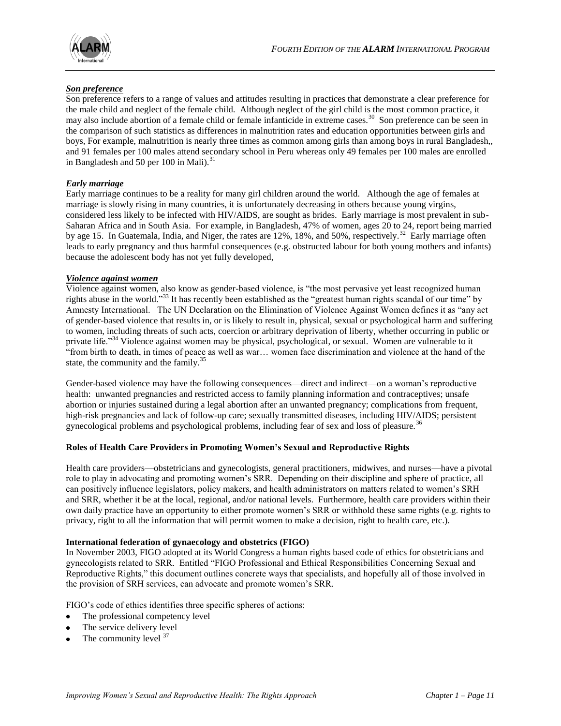

#### *Son preference*

Son preference refers to a range of values and attitudes resulting in practices that demonstrate a clear preference for the male child and neglect of the female child. Although neglect of the girl child is the most common practice, it may also include abortion of a female child or female infanticide in extreme cases.<sup>30</sup> Son preference can be seen in the comparison of such statistics as differences in malnutrition rates and education opportunities between girls and boys, For example, malnutrition is nearly three times as common among girls than among boys in rural Bangladesh,, and 91 females per 100 males attend secondary school in Peru whereas only 49 females per 100 males are enrolled in Bangladesh and 50 per 100 in Mali). $31$ 

#### *Early marriage*

Early marriage continues to be a reality for many girl children around the world. Although the age of females at marriage is slowly rising in many countries, it is unfortunately decreasing in others because young virgins, considered less likely to be infected with HIV/AIDS, are sought as brides. Early marriage is most prevalent in sub-Saharan Africa and in South Asia. For example, in Bangladesh, 47% of women, ages 20 to 24, report being married by age 15. In Guatemala, India, and Niger, the rates are 12%, 18%, and 50%, respectively.<sup>32</sup> Early marriage often leads to early pregnancy and thus harmful consequences (e.g. obstructed labour for both young mothers and infants) because the adolescent body has not yet fully developed,

#### *Violence against women*

Violence against women, also know as gender-based violence, is "the most pervasive yet least recognized human rights abuse in the world."<sup>33</sup> It has recently been established as the "greatest human rights scandal of our time" by Amnesty International. The UN Declaration on the Elimination of Violence Against Women defines it as "any act" of gender-based violence that results in, or is likely to result in, physical, sexual or psychological harm and suffering to women, including threats of such acts, coercion or arbitrary deprivation of liberty, whether occurring in public or private life."<sup>34</sup> Violence against women may be physical, psychological, or sexual. Women are vulnerable to it ―from birth to death, in times of peace as well as war… women face discrimination and violence at the hand of the state, the community and the family. $35$ 

Gender-based violence may have the following consequences—direct and indirect—on a woman's reproductive health: unwanted pregnancies and restricted access to family planning information and contraceptives; unsafe abortion or injuries sustained during a legal abortion after an unwanted pregnancy; complications from frequent, high-risk pregnancies and lack of follow-up care; sexually transmitted diseases, including HIV/AIDS; persistent gynecological problems and psychological problems, including fear of sex and loss of pleasure.<sup>36</sup>

#### **Roles of Health Care Providers in Promoting Women's Sexual and Reproductive Rights**

Health care providers—obstetricians and gynecologists, general practitioners, midwives, and nurses—have a pivotal role to play in advocating and promoting women's SRR. Depending on their discipline and sphere of practice, all can positively influence legislators, policy makers, and health administrators on matters related to women's SRH and SRR, whether it be at the local, regional, and/or national levels. Furthermore, health care providers within their own daily practice have an opportunity to either promote women's SRR or withhold these same rights (e.g. rights to privacy, right to all the information that will permit women to make a decision, right to health care, etc.).

#### **International federation of gynaecology and obstetrics (FIGO)**

In November 2003, FIGO adopted at its World Congress a human rights based code of ethics for obstetricians and gynecologists related to SRR. Entitled "FIGO Professional and Ethical Responsibilities Concerning Sexual and Reproductive Rights," this document outlines concrete ways that specialists, and hopefully all of those involved in the provision of SRH services, can advocate and promote women's SRR.

FIGO's code of ethics identifies three specific spheres of actions:

- The professional competency level  $\bullet$
- The service delivery level
- The community level  $37$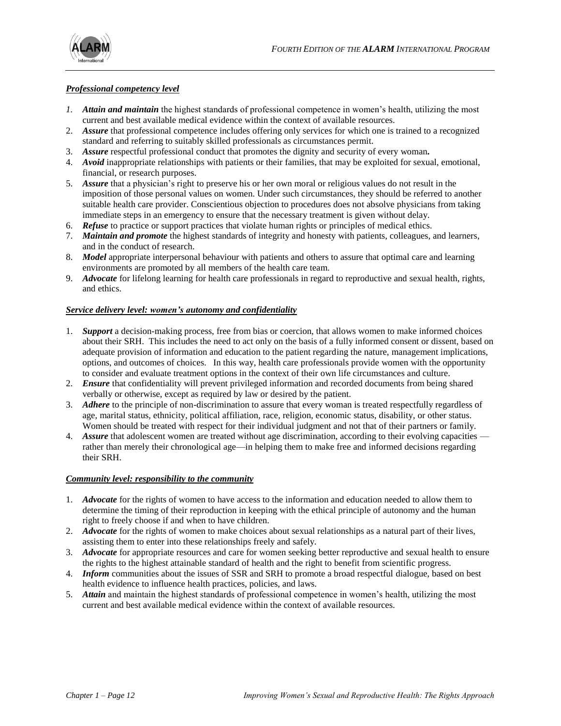

#### *Professional competency level*

- *1. Attain and maintain* the highest standards of professional competence in women's health, utilizing the most current and best available medical evidence within the context of available resources.
- 2. *Assure* that professional competence includes offering only services for which one is trained to a recognized standard and referring to suitably skilled professionals as circumstances permit.
- 3. *Assure* respectful professional conduct that promotes the dignity and security of every woman*.*
- 4. *Avoid* inappropriate relationships with patients or their families, that may be exploited for sexual, emotional, financial, or research purposes.
- 5. *Assure* that a physician's right to preserve his or her own moral or religious values do not result in the imposition of those personal values on women. Under such circumstances, they should be referred to another suitable health care provider. Conscientious objection to procedures does not absolve physicians from taking immediate steps in an emergency to ensure that the necessary treatment is given without delay.
- 6. *Refuse* to practice or support practices that violate human rights or principles of medical ethics.
- 7. *Maintain and promote* the highest standards of integrity and honesty with patients, colleagues, and learners, and in the conduct of research.
- 8. *Model* appropriate interpersonal behaviour with patients and others to assure that optimal care and learning environments are promoted by all members of the health care team.
- 9. *Advocate* for lifelong learning for health care professionals in regard to reproductive and sexual health, rights, and ethics.

#### *Service delivery level: women's autonomy and confidentiality*

- 1. *Support* a decision-making process, free from bias or coercion, that allows women to make informed choices about their SRH. This includes the need to act only on the basis of a fully informed consent or dissent, based on adequate provision of information and education to the patient regarding the nature, management implications, options, and outcomes of choices. In this way, health care professionals provide women with the opportunity to consider and evaluate treatment options in the context of their own life circumstances and culture.
- 2. *Ensure* that confidentiality will prevent privileged information and recorded documents from being shared verbally or otherwise, except as required by law or desired by the patient.
- 3. *Adhere* to the principle of non-discrimination to assure that every woman is treated respectfully regardless of age, marital status, ethnicity, political affiliation, race, religion, economic status, disability, or other status. Women should be treated with respect for their individual judgment and not that of their partners or family.
- 4. *Assure* that adolescent women are treated without age discrimination, according to their evolving capacities rather than merely their chronological age—in helping them to make free and informed decisions regarding their SRH.

#### *Community level: responsibility to the community*

- 1. *Advocate* for the rights of women to have access to the information and education needed to allow them to determine the timing of their reproduction in keeping with the ethical principle of autonomy and the human right to freely choose if and when to have children.
- 2. *Advocate* for the rights of women to make choices about sexual relationships as a natural part of their lives, assisting them to enter into these relationships freely and safely.
- 3. *Advocate* for appropriate resources and care for women seeking better reproductive and sexual health to ensure the rights to the highest attainable standard of health and the right to benefit from scientific progress.
- 4. *Inform* communities about the issues of SSR and SRH to promote a broad respectful dialogue, based on best health evidence to influence health practices, policies, and laws.
- 5. *Attain* and maintain the highest standards of professional competence in women's health, utilizing the most current and best available medical evidence within the context of available resources.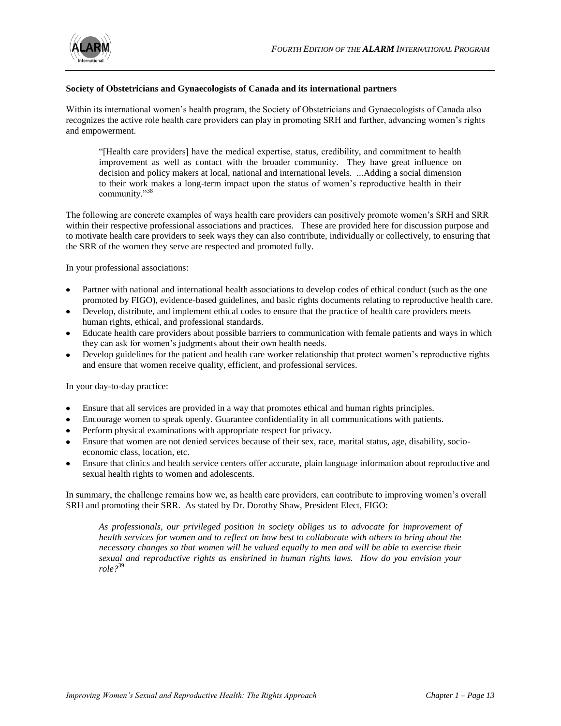

#### **Society of Obstetricians and Gynaecologists of Canada and its international partners**

Within its international women's health program, the Society of Obstetricians and Gynaecologists of Canada also recognizes the active role health care providers can play in promoting SRH and further, advancing women's rights and empowerment.

―[Health care providers] have the medical expertise, status, credibility, and commitment to health improvement as well as contact with the broader community. They have great influence on decision and policy makers at local, national and international levels. *...*Adding a social dimension to their work makes a long-term impact upon the status of women's reproductive health in their community."38

The following are concrete examples of ways health care providers can positively promote women's SRH and SRR within their respective professional associations and practices. These are provided here for discussion purpose and to motivate health care providers to seek ways they can also contribute, individually or collectively, to ensuring that the SRR of the women they serve are respected and promoted fully.

In your professional associations:

- Partner with national and international health associations to develop codes of ethical conduct (such as the one promoted by FIGO), evidence-based guidelines, and basic rights documents relating to reproductive health care.
- Develop, distribute, and implement ethical codes to ensure that the practice of health care providers meets human rights, ethical, and professional standards.
- Educate health care providers about possible barriers to communication with female patients and ways in which they can ask for women's judgments about their own health needs.
- Develop guidelines for the patient and health care worker relationship that protect women's reproductive rights and ensure that women receive quality, efficient, and professional services.

In your day-to-day practice:

- Ensure that all services are provided in a way that promotes ethical and human rights principles.
- Encourage women to speak openly. Guarantee confidentiality in all communications with patients.
- Perform physical examinations with appropriate respect for privacy.
- Ensure that women are not denied services because of their sex, race, marital status, age, disability, socioeconomic class, location, etc.
- Ensure that clinics and health service centers offer accurate, plain language information about reproductive and sexual health rights to women and adolescents.

In summary, the challenge remains how we, as health care providers, can contribute to improving women's overall SRH and promoting their SRR. As stated by Dr. Dorothy Shaw, President Elect, FIGO:

*As professionals, our privileged position in society obliges us to advocate for improvement of health services for women and to reflect on how best to collaborate with others to bring about the necessary changes so that women will be valued equally to men and will be able to exercise their sexual and reproductive rights as enshrined in human rights laws. How do you envision your role?*<sup>39</sup>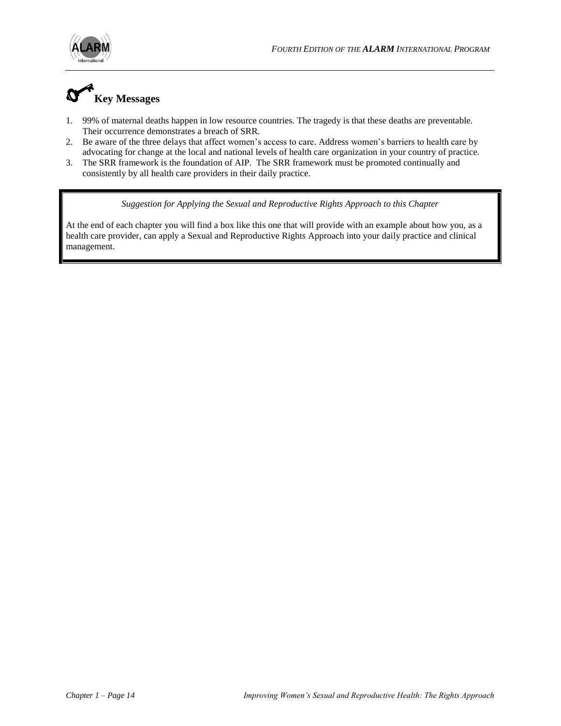

# **Key Messages**

- 1. 99% of maternal deaths happen in low resource countries. The tragedy is that these deaths are preventable. Their occurrence demonstrates a breach of SRR.
- 2. Be aware of the three delays that affect women's access to care. Address women's barriers to health care by advocating for change at the local and national levels of health care organization in your country of practice.
- 3. The SRR framework is the foundation of AIP. The SRR framework must be promoted continually and consistently by all health care providers in their daily practice.

*Suggestion for Applying the Sexual and Reproductive Rights Approach to this Chapter*

At the end of each chapter you will find a box like this one that will provide with an example about how you, as a health care provider, can apply a Sexual and Reproductive Rights Approach into your daily practice and clinical management.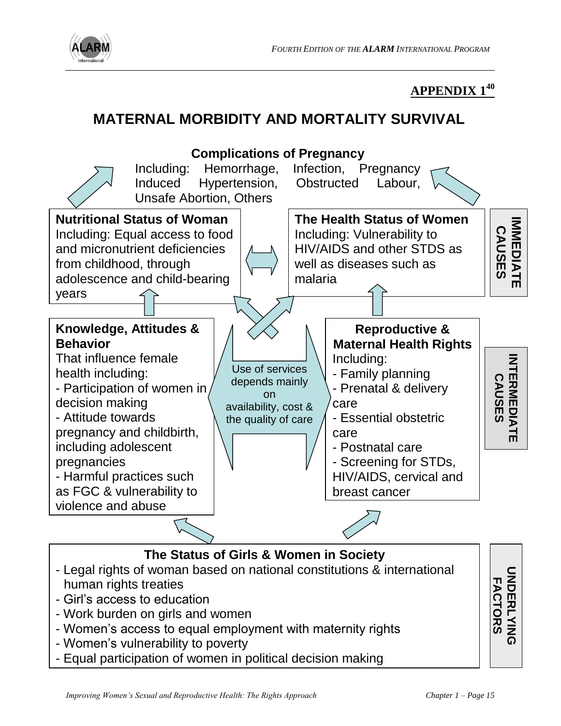

# **APPENDIX 1<sup>40</sup>**

# **MATERNAL MORBIDITY AND MORTALITY SURVIVAL**



- Girl's access to education
- Work burden on girls and women
- Women's access to equal employment with maternity rights
- Women's vulnerability to poverty
- Equal participation of women in political decision making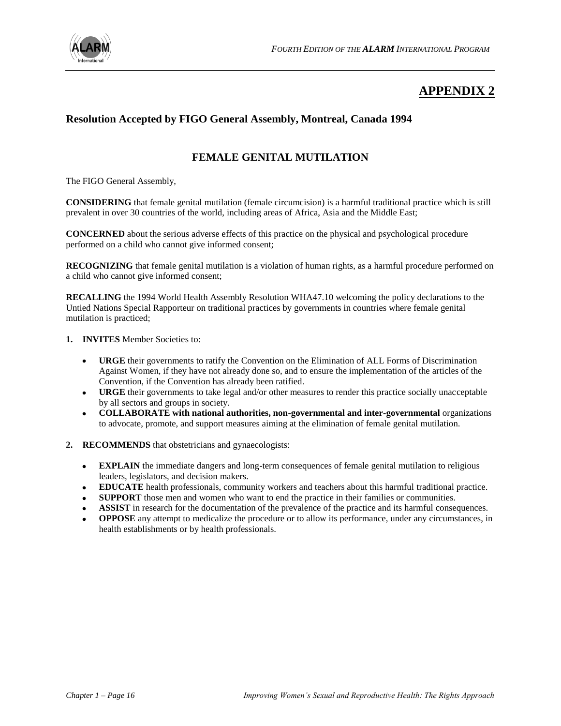

# **APPENDIX 2**

### **Resolution Accepted by FIGO General Assembly, Montreal, Canada 1994**

## **FEMALE GENITAL MUTILATION**

The FIGO General Assembly,

**CONSIDERING** that female genital mutilation (female circumcision) is a harmful traditional practice which is still prevalent in over 30 countries of the world, including areas of Africa, Asia and the Middle East;

**CONCERNED** about the serious adverse effects of this practice on the physical and psychological procedure performed on a child who cannot give informed consent;

**RECOGNIZING** that female genital mutilation is a violation of human rights, as a harmful procedure performed on a child who cannot give informed consent;

**RECALLING** the 1994 World Health Assembly Resolution WHA47.10 welcoming the policy declarations to the Untied Nations Special Rapporteur on traditional practices by governments in countries where female genital mutilation is practiced;

- **1. INVITES** Member Societies to:
	- $\bullet$ **URGE** their governments to ratify the Convention on the Elimination of ALL Forms of Discrimination Against Women, if they have not already done so, and to ensure the implementation of the articles of the Convention, if the Convention has already been ratified.
	- **URGE** their governments to take legal and/or other measures to render this practice socially unacceptable by all sectors and groups in society.
	- **COLLABORATE with national authorities, non-governmental and inter-governmental** organizations to advocate, promote, and support measures aiming at the elimination of female genital mutilation.
- **2. RECOMMENDS** that obstetricians and gynaecologists:
	- **EXPLAIN** the immediate dangers and long-term consequences of female genital mutilation to religious leaders, legislators, and decision makers.
	- **EDUCATE** health professionals, community workers and teachers about this harmful traditional practice.
	- **SUPPORT** those men and women who want to end the practice in their families or communities.
	- **ASSIST** in research for the documentation of the prevalence of the practice and its harmful consequences.
	- **OPPOSE** any attempt to medicalize the procedure or to allow its performance, under any circumstances, in health establishments or by health professionals.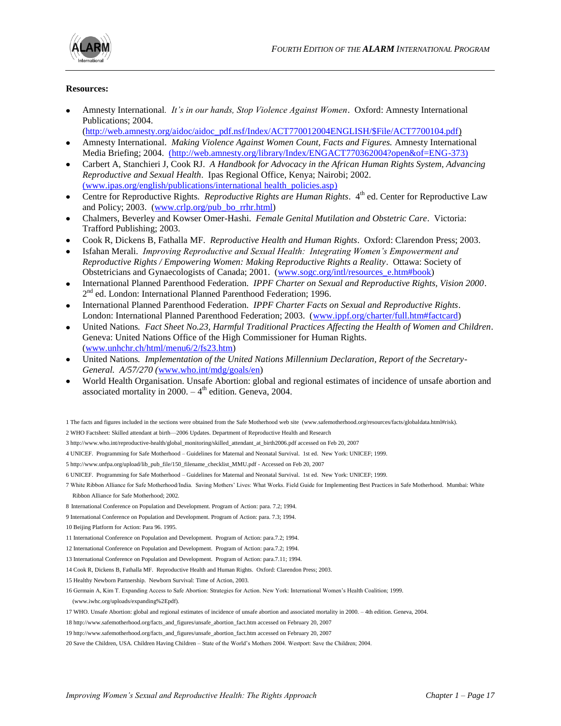

#### **Resources:**

- Amnesty International*. It's in our hands, Stop Violence Against Women*. Oxford: Amnesty International Publications; 2004.
- [\(http://web.amnesty.org/aidoc/aidoc\\_pdf.nsf/Index/ACT770012004ENGLISH/\\$File/ACT7700104.pdf\)](http://web.amnesty.org/aidoc/aidoc_pdf.nsf/Index/ACT770012004ENGLISH/$File/ACT7700104.pdf)
- Amnesty International. *Making Violence Against Women Count, Facts and Figures.* Amnesty International Media Briefing; 2004. [\(http://web.amnesty.org/library/Index/ENGACT770362004?open&of=ENG-373\)](http://web.amnesty.org/library/Index/ENGACT770362004?open&of=ENG-373)
- Carbert A, Stanchieri J, Cook RJ. *A Handbook for Advocacy in the African Human Rights System, Advancing Reproductive and Sexual Health*. Ipas Regional Office, Kenya; Nairobi; 2002. [\(www.ipas.org/english/publications/international health\\_policies.asp\)](http://www.ipas.org/english/publications/international%20health_policies.asp)
- Centre for Reproductive Rights. Reproductive Rights are Human Rights. 4<sup>th</sup> ed. Center for Reproductive Law and Policy; 2003. [\(www.crlp.org/pub\\_bo\\_rrhr.html\)](http://www.crlp.org/pub_bo_rrhr.html)
- Chalmers, Beverley and Kowser Omer-Hashi. *Female Genital Mutilation and Obstetric Care*. Victoria: Trafford Publishing; 2003.
- Cook R, Dickens B, Fathalla MF. *Reproductive Health and Human Rights*. Oxford: Clarendon Press; 2003.
- Isfahan Merali. *Improving Reproductive and Sexual Health: Integrating Women's Empowerment and Reproductive Rights / Empowering Women: Making Reproductive Rights a Reality*. Ottawa: Society of Obstetricians and Gynaecologists of Canada; 2001. [\(www.sogc.org/intl/resources\\_e.htm#book\)](http://www.sogc.org/intl/resources_e.htm#book)
- International Planned Parenthood Federation*. IPPF Charter on Sexual and Reproductive Rights, Vision 2000*. 2<sup>nd</sup> ed. London: International Planned Parenthood Federation; 1996.
- International Planned Parenthood Federation*. IPPF Charter Facts on Sexual and Reproductive Rights*. London: International Planned Parenthood Federation; 2003. [\(www.ippf.org/charter/full.htm#factcard\)](http://www.ippf.org/charter/full.htm#factcard)
- United Nations*. Fact Sheet No.23, Harmful Traditional Practices Affecting the Health of Women and Children*. Geneva: United Nations Office of the High Commissioner for Human Rights. [\(www.unhchr.ch/html/menu6/2/fs23.htm\)](http://www.unhchr.ch/html/menu6/2/fs23.htm)
- United Nations*. Implementation of the United Nations Millennium Declaration, Report of the Secretary-General. A/57/270 (*[www.who.int/mdg/goals/en\)](http://www.who.int/mdg/goals/en)
- World Health Organisation. Unsafe Abortion: global and regional estimates of incidence of unsafe abortion and associated mortality in  $2000 - 4$ <sup>th</sup> edition. Geneva, 2004.

- 2 WHO Factsheet: Skilled attendant at birth—2006 Updates. Department of Reproductive Health and Research
- 3 [http://www.who.int/reproductive-health/global\\_monitoring/skilled\\_attendant\\_at\\_birth2006.pdf accessed on Feb 20,](http://www.who.int/reproductive-health/global_monitoring/skilled_attendant_at_birth2006.pdf%20accessed%20on%20Feb%2020) 2007
- 4 UNICEF. Programming for Safe Motherhood Guidelines for Maternal and Neonatal Survival. 1st ed. New York: UNICEF; 1999.
- 5 [http://www.unfpa.org/upload/lib\\_pub\\_file/150\\_filename\\_checklist\\_MMU.pdf](http://www.unfpa.org/upload/lib_pub_file/150_filename_checklist_MMU.pdf) Accessed on Feb 20, 2007
- 6 UNICEF. Programming for Safe Motherhood Guidelines for Maternal and Neonatal Survival. 1st ed. New York: UNICEF; 1999.
- 7 White Ribbon Alliance for Safe Motherhood/India. Saving Mothers' Lives: What Works. Field Guide for Implementing Best Practices in Safe Motherhood. Mumbai: White Ribbon Alliance for Safe Motherhood; 2002.
- 8 International Conference on Population and Development. Program of Action: para. 7.2; 1994.
- 9 International Conference on Population and Development. Program of Action: para. 7.3; 1994.
- 10 Beijing Platform for Action: Para 96. 1995.
- 11 International Conference on Population and Development. Program of Action: para.7.2; 1994.
- 12 International Conference on Population and Development. Program of Action: para.7.2; 1994.
- 13 International Conference on Population and Development. Program of Action: para.7.11; 1994.
- 14 Cook R, Dickens B, Fathalla MF. Reproductive Health and Human Rights. Oxford: Clarendon Press; 2003.
- 15 Healthy Newborn Partnership. Newborn Survival: Time of Action, 2003.

16 Germain A, Kim T. Expanding Access to Safe Abortion: Strategies for Action. New York: International Women's Health Coalition; 1999.

- (www.iwhc.org/uploads/expanding%2Epdf).
- 17 WHO. Unsafe Abortion: global and regional estimates of incidence of unsafe abortion and associated mortality in 2000. 4th edition. Geneva, 2004.
- 18 [http://www.safemotherhood.org/facts\\_and\\_figures/unsafe\\_abortion\\_fact.htm](http://www.safemotherhood.org/facts_and_figures/unsafe_abortion_fact.htm) accessed on February 20, 2007
- 19 [http://www.safemotherhood.org/facts\\_and\\_figures/unsafe\\_abortion\\_fact.htm](http://www.safemotherhood.org/facts_and_figures/unsafe_abortion_fact.htm) accessed on February 20, 2007
- 20 Save the Children, USA. Children Having Children State of the World's Mothers 2004. Westport: Save the Children; 2004.

<sup>1</sup> The facts and figures included in the sections were obtained from the Safe Motherhood web site (www.safemotherhood.org/resources/facts/globaldata.html#risk).